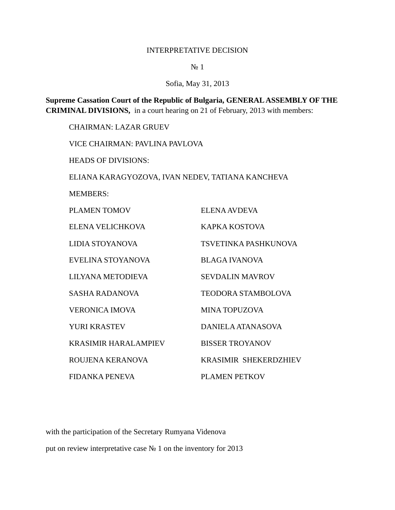#### INTERPRETATIVE DECISION

#### N<sub>o</sub> 1

### Sofia, May 31, 2013

**Supreme Cassation Court of the Republic of Bulgaria, GENERAL ASSEMBLY OF THE CRIMINAL DIVISIONS,** in a court hearing on 21 of February, 2013 with members:

CHAIRMAN: LAZAR GRUEV

VICE CHAIRMAN: PAVLINA PAVLOVA

HEADS OF DIVISIONS:

ELIANA KARAGYOZOVA, IVAN NEDEV, TATIANA KANCHEVA

MEMBERS:

| PLAMEN TOMOV             | <b>ELENA AVDEVA</b>          |
|--------------------------|------------------------------|
| ELENA VELICHKOVA         | KAPKA KOSTOVA                |
| LIDIA STOYANOVA          | <b>TSVETINKA PASHKUNOVA</b>  |
| <b>EVELINA STOYANOVA</b> | BLAGA IVANOVA                |
| LILYANA METODIEVA        | <b>SEVDALIN MAVROV</b>       |
| <b>SASHA RADANOVA</b>    | <b>TEODORA STAMBOLOVA</b>    |
| <b>VERONICA IMOVA</b>    | <b>MINA TOPUZOVA</b>         |
| <b>YURI KRASTEV</b>      | DANIELA ATANASOVA            |
| KRASIMIR HARALAMPIEV     | <b>BISSER TROYANOV</b>       |
| ROUJENA KERANOVA         | <b>KRASIMIR SHEKERDZHIEV</b> |
| <b>FIDANKA PENEVA</b>    | <b>PLAMEN PETKOV</b>         |

with the participation of the Secretary Rumyana Videnova put on review interpretative case № 1 on the inventory for 2013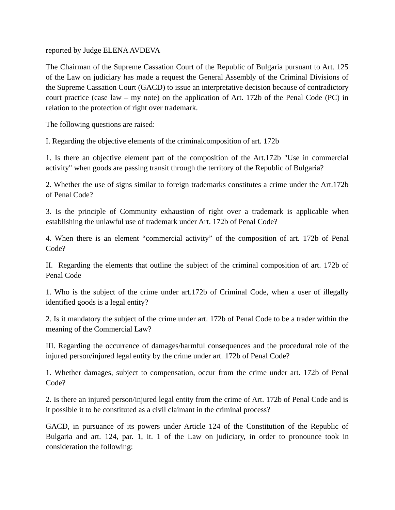reported by Judge ELENA AVDEVA

The Chairman of the Supreme Cassation Court of the Republic of Bulgaria pursuant to Art. 125 of the Law on judiciary has made a request the General Assembly of the Criminal Divisions of the Supreme Cassation Court (GACD) to issue an interpretative decision because of contradictory court practice (case law – my note) on the application of Art. 172b of the Penal Code (PC) in relation to the protection of right over trademark.

The following questions are raised:

I. Regarding the objective elements of the criminalcomposition of art. 172b

1. Is there an objective element part of the composition of the Art.172b "Use in commercial activity" when goods are passing transit through the territory of the Republic of Bulgaria?

2. Whether the use of signs similar to foreign trademarks constitutes a crime under the Art.172b of Penal Code?

3. Is the principle of Community exhaustion of right over a trademark is applicable when establishing the unlawful use of trademark under Art. 172b of Penal Code?

4. When there is an element "commercial activity" of the composition of art. 172b of Penal Code?

ІІ. Regarding the elements that outline the subject of the criminal composition of art. 172b of Penal Code

1. Who is the subject of the crime under art.172b of Criminal Code, when a user of illegally identified goods is a legal entity?

2. Is it mandatory the subject of the crime under art. 172b of Penal Code to be a trader within the meaning of the Commercial Law?

ІІІ. Regarding the occurrence of damages/harmful consequences and the procedural role of the injured person/injured legal entity by the crime under art. 172b of Penal Code?

1. Whether damages, subject to compensation, occur from the crime under art. 172b of Penal Code?

2. Is there an injured person/injured legal entity from the crime of Art. 172b of Penal Code and is it possible it to be constituted as a civil claimant in the criminal process?

GACD, in pursuance of its powers under Article 124 of the Constitution of the Republic of Bulgaria and art. 124, par. 1, it. 1 of the Law on judiciary, in order to pronounce took in consideration the following: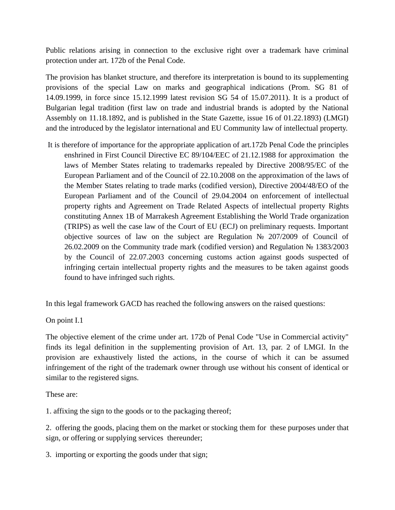Public relations arising in connection to the exclusive right over a trademark have criminal protection under art. 172b of the Penal Code.

The provision has blanket structure, and therefore its interpretation is bound to its supplementing provisions of the special Law on marks and geographical indications (Prom. SG 81 of 14.09.1999, in force since 15.12.1999 latest revision SG 54 of 15.07.2011). It is a product of Bulgarian legal tradition (first law on trade and industrial brands is adopted by the National Assembly on 11.18.1892, and is published in the State Gazette, issue 16 of 01.22.1893) (LMGI) and the introduced by the legislator international and EU Community law of intellectual property.

 It is therefore of importance for the appropriate application of art.172b Penal Code the principles enshrined in First Council Directive EC 89/104/EEC of 21.12.1988 for approximation the laws of Member States relating to trademarks repealed by Directive 2008/95/EC of the European Parliament and of the Council of 22.10.2008 on the approximation of the laws of the Member States relating to trade marks (codified version), Directive 2004/48/EO of the European Parliament and of the Council of 29.04.2004 on enforcement of intellectual property rights and Agreement on Trade Related Aspects of intellectual property Rights constituting Annex 1B of Marrakesh Agreement Establishing the World Trade organization (TRIPS) as well the case law of the Court of EU (ECJ) on preliminary requests. Important objective sources of law on the subject are Regulation № 207/2009 of Council of 26.02.2009 on the Community trade mark (codified version) and Regulation № 1383/2003 by the Council of 22.07.2003 concerning customs action against goods suspected of infringing certain intellectual property rights and the measures to be taken against goods found to have infringed such rights.

In this legal framework GACD has reached the following answers on the raised questions:

On point I.1

The objective element of the crime under art. 172b of Penal Code "Use in Commercial activity" finds its legal definition in the supplementing provision of Art. 13, par. 2 of LMGI. In the provision are exhaustively listed the actions, in the course of which it can be assumed infringement of the right of the trademark owner through use without his consent of identical or similar to the registered signs.

These are:

1. affixing the sign to the goods or to the packaging thereof;

2. offering the goods, placing them on the market or stocking them for these purposes under that sign, or offering or supplying services thereunder;

3. importing or exporting the goods under that sign;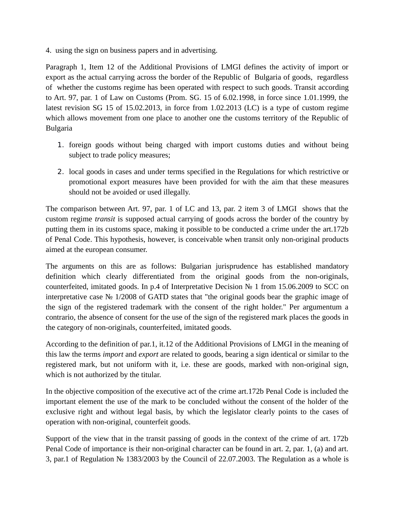4. using the sign on business papers and in advertising.

Paragraph 1, Item 12 of the Additional Provisions of LMGI defines the activity of import or export as the actual carrying across the border of the Republic of Bulgaria of goods, regardless of whether the customs regime has been operated with respect to such goods. Transit according to Art. 97, par. 1 of Law on Customs (Prom. SG. 15 of 6.02.1998, in force since 1.01.1999, the latest revision SG 15 of 15.02.2013, in force from 1.02.2013 (LC) is a type of custom regime which allows movement from one place to another one the customs territory of the Republic of Bulgaria

- 1. foreign goods without being charged with import customs duties and without being subject to trade policy measures;
- 2. local goods in cases and under terms specified in the Regulations for which restrictive or promotional export measures have been provided for with the aim that these measures should not be avoided or used illegally.

The comparison between Art. 97, par. 1 of LC and 13, par. 2 item 3 of LMGI shows that the custom regime *transit* is supposed actual carrying of goods across the border of the country by putting them in its customs space, making it possible to be conducted a crime under the art.172b of Penal Code. This hypothesis, however, is conceivable when transit only non-original products aimed at the european consumer.

The arguments on this are as follows: Bulgarian jurisprudence has established mandatory definition which clearly differentiated from the original goods from the non-originals, counterfeited, imitated goods. In p.4 of Interpretative Decision № 1 from 15.06.2009 to SCC on interpretative case № 1/2008 of GATD states that "the original goods bear the graphic image of the sign of the registered trademark with the consent of the right holder." Per argumentum a contrario, the absence of consent for the use of the sign of the registered mark places the goods in the category of non-originals, counterfeited, imitated goods.

According to the definition of par.1, it.12 of the Additional Provisions of LMGI in the meaning of this law the terms *import* and *export* are related to goods, bearing a sign identical or similar to the registered mark, but not uniform with it, i.e. these are goods, marked with non-original sign, which is not authorized by the titular.

In the objective composition of the executive act of the crime art.172b Penal Code is included the important element the use of the mark to be concluded without the consent of the holder of the exclusive right and without legal basis, by which the legislator clearly points to the cases of operation with non-original, counterfeit goods.

Support of the view that in the transit passing of goods in the context of the crime of art. 172b Penal Code of importance is their non-original character can be found in art. 2, par. 1, (a) and art. 3, par.1 of Regulation № 1383/2003 by the Council of 22.07.2003. The Regulation as a whole is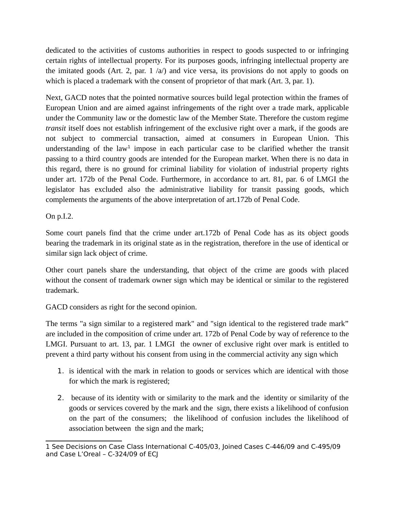dedicated to the activities of customs authorities in respect to goods suspected to or infringing certain rights of intellectual property. For its purposes goods, infringing intellectual property are the imitated goods (Art. 2, par.  $1/a$ ) and vice versa, its provisions do not apply to goods on which is placed a trademark with the consent of proprietor of that mark (Art. 3, par. 1).

Next, GACD notes that the pointed normative sources build legal protection within the frames of European Union and are aimed against infringements of the right over a trade mark, applicable under the Community law or the domestic law of the Member State. Therefore the custom regime *transit* itself does not establish infringement of the exclusive right over a mark, if the goods are not subject to commercial transaction, aimed at consumers in European Union. This understanding of the law<sup>[1](#page-4-0)</sup> impose in each particular case to be clarified whether the transit passing to a third country goods are intended for the European market. When there is no data in this regard, there is no ground for criminal liability for violation of industrial property rights under art. 172b of the Penal Code. Furthermore, in accordance to art. 81, par. 6 of LMGI the legislator has excluded also the administrative liability for transit passing goods, which complements the arguments of the above interpretation of art.172b of Penal Code.

On p.I.2.

Some court panels find that the crime under art.172b of Penal Code has as its object goods bearing the trademark in its original state as in the registration, therefore in the use of identical or similar sign lack object of crime.

Other court panels share the understanding, that object of the crime are goods with placed without the consent of trademark owner sign which may be identical or similar to the registered trademark.

GACD considers as right for the second opinion.

The terms "a sign similar to a registered mark" and "sign identical to the registered trade mark" are included in the composition of crime under art. 172b of Penal Code by way of reference to the LMGI. Pursuant to art. 13, par. 1 LMGI the owner of exclusive right over mark is entitled to prevent a third party without his consent from using in the commercial activity any sign which

- 1. is identical with the mark in relation to goods or services which are identical with those for which the mark is registered;
- 2. because of its identity with or similarity to the mark and the identity or similarity of the goods or services covered by the mark and the sign, there exists a likelihood of confusion on the part of the consumers; the likelihood of confusion includes the likelihood of association between the sign and the mark;

<span id="page-4-0"></span><sup>1</sup> See Decisions on Case Class International C-405/03, Joined Cases C-446/09 and C-495/09 and Case L'Oreal – C-324/09 of ECJ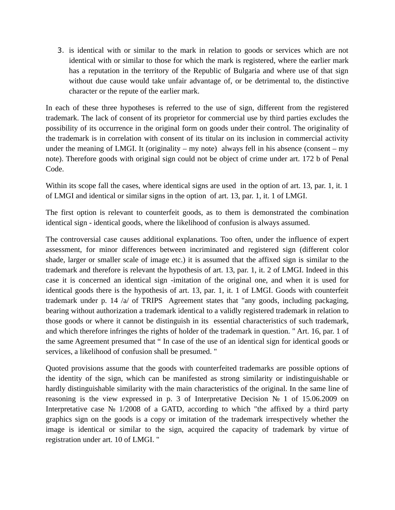3. is identical with or similar to the mark in relation to goods or services which are not identical with or similar to those for which the mark is registered, where the earlier mark has a reputation in the territory of the Republic of Bulgaria and where use of that sign without due cause would take unfair advantage of, or be detrimental to, the distinctive character or the repute of the earlier mark.

In each of these three hypotheses is referred to the use of sign, different from the registered trademark. The lack of consent of its proprietor for commercial use by third parties excludes the possibility of its occurrence in the original form on goods under their control. The originality of the trademark is in correlation with consent of its titular on its inclusion in commercial activity under the meaning of LMGI. It (originality – my note) always fell in his absence (consent – my note). Therefore goods with original sign could not be object of crime under art. 172 b of Penal Code.

Within its scope fall the cases, where identical signs are used in the option of art. 13, par. 1, it. 1 of LMGI and identical or similar signs in the option of art. 13, par. 1, it. 1 of LMGI.

The first option is relevant to counterfeit goods, as to them is demonstrated the combination identical sign - identical goods, where the likelihood of confusion is always assumed.

The controversial case causes additional explanations. Too often, under the influence of expert assessment, for minor differences between incriminated and registered sign (different color shade, larger or smaller scale of image etc.) it is assumed that the affixed sign is similar to the trademark and therefore is relevant the hypothesis of art. 13, par. 1, it. 2 of LMGI. Indeed in this case it is concerned an identical sign -imitation of the original one, and when it is used for identical goods there is the hypothesis of art. 13, par. 1, it. 1 of LMGI. Goods with counterfeit trademark under p. 14 /a/ of TRIPS Agreement states that "any goods, including packaging, bearing without authorization a trademark identical to a validly registered trademark in relation to those goods or where it cannot be distinguish in its essential characteristics of such trademark, and which therefore infringes the rights of holder of the trademark in question. " Art. 16, par. 1 of the same Agreement presumed that " In case of the use of an identical sign for identical goods or services, a likelihood of confusion shall be presumed. "

Quoted provisions assume that the goods with counterfeited trademarks are possible options of the identity of the sign, which can be manifested as strong similarity or indistinguishable or hardly distinguishable similarity with the main characteristics of the original. In the same line of reasoning is the view expressed in p. 3 of Interpretative Decision № 1 of 15.06.2009 on Interpretative case № 1/2008 of a GATD, according to which "the affixed by a third party graphics sign on the goods is a copy or imitation of the trademark irrespectively whether the image is identical or similar to the sign, acquired the capacity of trademark by virtue of registration under art. 10 of LMGI. "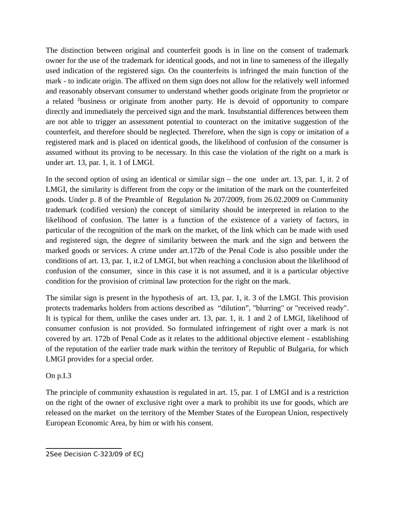The distinction between original and counterfeit goods is in line on the consent of trademark owner for the use of the trademark for identical goods, and not in line to sameness of the illegally used indication of the registered sign. On the counterfeits is infringed the main function of the mark - to indicate origin. The affixed on them sign does not allow for the relatively well informed and reasonably observant consumer to understand whether goods originate from the proprietor or arelated <sup>2</sup>business or originate from another party. He is devoid of opportunity to compare directly and immediately the perceived sign and the mark. Insubstantial differences between them are not able to trigger an assessment potential to counteract on the imitative suggestion of the counterfeit, and therefore should be neglected. Therefore, when the sign is copy or imitation of a registered mark and is placed on identical goods, the likelihood of confusion of the consumer is assumed without its proving to be necessary. In this case the violation of the right on a mark is under art. 13, par. 1, it. 1 of LMGI.

In the second option of using an identical or similar sign – the one under art. 13, par. 1, it. 2 of LMGI, the similarity is different from the copy or the imitation of the mark on the counterfeited goods. Under p. 8 of the Preamble of Regulation № 207/2009, from 26.02.2009 on Community trademark (codified version) the concept of similarity should be interpreted in relation to the likelihood of confusion. The latter is a function of the existence of a variety of factors, in particular of the recognition of the mark on the market, of the link which can be made with used and registered sign, the degree of similarity between the mark and the sign and between the marked goods or services. A crime under art.172b of the Penal Code is also possible under the conditions of art. 13, par. 1, it.2 of LMGI, but when reaching a conclusion about the likelihood of confusion of the consumer, since in this case it is not assumed, and it is a particular objective condition for the provision of criminal law protection for the right on the mark.

The similar sign is present in the hypothesis of art. 13, par. 1, it. 3 of the LMGI. This provision protects trademarks holders from actions described as "dilution", "blurring" or "received ready". It is typical for them, unlike the cases under art. 13, par. 1, it. 1 and 2 of LMGI, likelihood of consumer confusion is not provided. So formulated infringement of right over a mark is not covered by art. 172b of Penal Code as it relates to the additional objective element - establishing of the reputation of the earlier trade mark within the territory of Republic of Bulgaria, for which LMGI provides for a special order.

On p.І.3

The principle of community exhaustion is regulated in art. 15, par. 1 of LMGI and is a restriction on the right of the owner of exclusive right over a mark to prohibit its use for goods, which are released on the market on the territory of the Member States of the European Union, respectively European Economic Area, by him or with his consent.

<span id="page-6-0"></span><sup>2</sup>See Decision C-323/09 of ECJ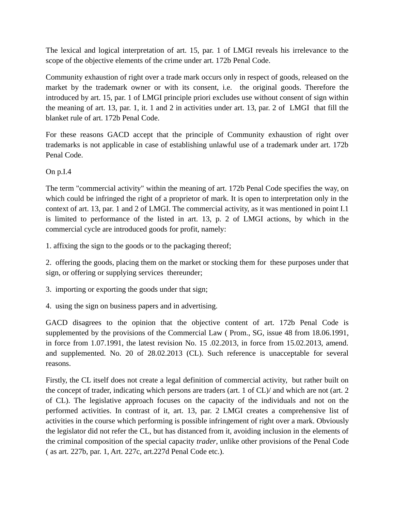The lexical and logical interpretation of art. 15, par. 1 of LMGI reveals his irrelevance to the scope of the objective elements of the crime under art. 172b Penal Code.

Community exhaustion of right over a trade mark occurs only in respect of goods, released on the market by the trademark owner or with its consent, i.e. the original goods. Therefore the introduced by art. 15, par. 1 of LMGI principle priori excludes use without consent of sign within the meaning of art. 13, par. 1, it. 1 and 2 in activities under art. 13, par. 2 of LMGI that fill the blanket rule of art. 172b Penal Code.

For these reasons GACD accept that the principle of Community exhaustion of right over trademarks is not applicable in case of establishing unlawful use of a trademark under art. 172b Penal Code.

On p.І.4

The term "commercial activity" within the meaning of art. 172b Penal Code specifies the way, on which could be infringed the right of a proprietor of mark. It is open to interpretation only in the context of art. 13, par. 1 and 2 of LMGI. The commercial activity, as it was mentioned in point I.1 is limited to performance of the listed in art. 13, p. 2 of LMGI actions, by which in the commercial cycle are introduced goods for profit, namely:

1. affixing the sign to the goods or to the packaging thereof;

2. offering the goods, placing them on the market or stocking them for these purposes under that sign, or offering or supplying services thereunder;

3. importing or exporting the goods under that sign;

4. using the sign on business papers and in advertising.

GACD disagrees to the opinion that the objective content of art. 172b Penal Code is supplemented by the provisions of the Commercial Law ( Prom., SG, issue 48 from 18.06.1991, in force from 1.07.1991, the latest revision No. 15 .02.2013, in force from 15.02.2013, amend. and supplemented. No. 20 of 28.02.2013 (CL). Such reference is unacceptable for several reasons.

Firstly, the CL itself does not create a legal definition of commercial activity, but rather built on the concept of trader, indicating which persons are traders (art. 1 of CL)/ and which are not (art. 2 of CL). The legislative approach focuses on the capacity of the individuals and not on the performed activities. In contrast of it, art. 13, par. 2 LMGI creates a comprehensive list of activities in the course which performing is possible infringement of right over a mark. Obviously the legislator did not refer the CL, but has distanced from it, avoiding inclusion in the elements of the criminal composition of the special capacity *trader*, unlike other provisions of the Penal Code ( as art. 227b, par. 1, Art. 227c, art.227d Penal Code etc.).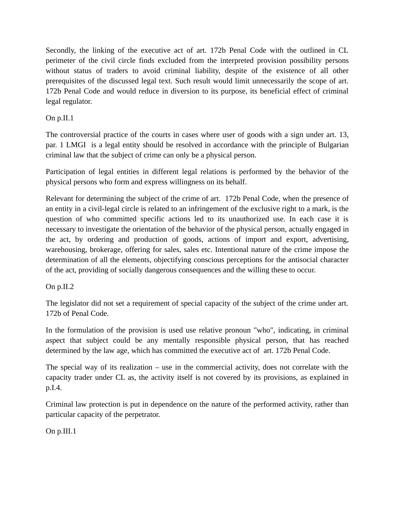Secondly, the linking of the executive act of art. 172b Penal Code with the outlined in CL perimeter of the civil circle finds excluded from the interpreted provision possibility persons without status of traders to avoid criminal liability, despite of the existence of all other prerequisites of the discussed legal text. Such result would limit unnecessarily the scope of art. 172b Penal Code and would reduce in diversion to its purpose, its beneficial effect of criminal legal regulator.

# On p.ІІ.1

The controversial practice of the courts in cases where user of goods with a sign under art. 13, par. 1 LMGI is a legal entity should be resolved in accordance with the principle of Bulgarian criminal law that the subject of crime can only be a physical person.

Participation of legal entities in different legal relations is performed by the behavior of the physical persons who form and express willingness on its behalf.

Relevant for determining the subject of the crime of art. 172b Penal Code, when the presence of an entity in a civil-legal circle is related to an infringement of the exclusive right to a mark, is the question of who committed specific actions led to its unauthorized use. In each case it is necessary to investigate the orientation of the behavior of the physical person, actually engaged in the act, by ordering and production of goods, actions of import and export, advertising, warehousing, brokerage, offering for sales, sales etc. Intentional nature of the crime impose the determination of all the elements, objectifying conscious perceptions for the antisocial character of the act, providing of socially dangerous consequences and the willing these to occur.

On p.ІІ.2

The legislator did not set a requirement of special capacity of the subject of the crime under art. 172b of Penal Code.

In the formulation of the provision is used use relative pronoun "who", indicating, in criminal aspect that subject could be any mentally responsible physical person, that has reached determined by the law age, which has committed the executive act of art. 172b Penal Code.

The special way of its realization – use in the commercial activity, does not correlate with the capacity trader under CL as, the activity itself is not covered by its provisions, as explained in p.І.4.

Criminal law protection is put in dependence on the nature of the performed activity, rather than particular capacity of the perpetrator.

On p.ІІІ.1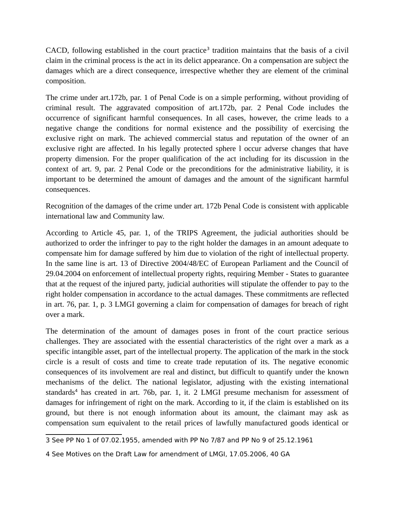CACD, following established in the court practice<sup>[3](#page-9-0)</sup> tradition maintains that the basis of a civil claim in the criminal process is the act in its delict appearance. On a compensation are subject the damages which are a direct consequence, irrespective whether they are element of the criminal composition.

The crime under art.172b, par. 1 of Penal Code is on a simple performing, without providing of criminal result. The aggravated composition of art.172b, par. 2 Penal Code includes the occurrence of significant harmful consequences. In all cases, however, the crime leads to a negative change the conditions for normal existence and the possibility of exercising the exclusive right on mark. The achieved commercial status and reputation of the owner of an exclusive right are affected. In his legally protected sphere l occur adverse changes that have property dimension. For the proper qualification of the act including for its discussion in the context of art. 9, par. 2 Penal Code or the preconditions for the administrative liability, it is important to be determined the amount of damages and the amount of the significant harmful consequences.

Recognition of the damages of the crime under art. 172b Penal Code is consistent with applicable international law and Community law.

According to Article 45, par. 1, of the TRIPS Agreement, the judicial authorities should be authorized to order the infringer to pay to the right holder the damages in an amount adequate to compensate him for damage suffered by him due to violation of the right of intellectual property. In the same line is art. 13 of Directive 2004/48/EC of European Parliament and the Council of 29.04.2004 on enforcement of intellectual property rights, requiring Member - States to guarantee that at the request of the injured party, judicial authorities will stipulate the offender to pay to the right holder compensation in accordance to the actual damages. These commitments are reflected in art. 76, par. 1, p. 3 LMGI governing a claim for compensation of damages for breach of right over a mark.

The determination of the amount of damages poses in front of the court practice serious challenges. They are associated with the essential characteristics of the right over a mark as a specific intangible asset, part of the intellectual property. The application of the mark in the stock circle is a result of costs and time to create trade reputation of its. The negative economic consequences of its involvement are real and distinct, but difficult to quantify under the known mechanisms of the delict. The national legislator, adjusting with the existing international standards<sup>[4](#page-9-1)</sup> has created in art. 76b, par. 1, it. 2 LMGI presume mechanism for assessment of damages for infringement of right on the mark. According to it, if the claim is established on its ground, but there is not enough information about its amount, the claimant may ask as compensation sum equivalent to the retail prices of lawfully manufactured goods identical or

<span id="page-9-0"></span><sup>3</sup> See PP No 1 of 07.02.1955, amended with PP No 7/87 and PP No 9 of 25.12.1961

<span id="page-9-1"></span><sup>4</sup> See Motives on the Draft Law for amendment of LMGI, 17.05.2006, 40 GA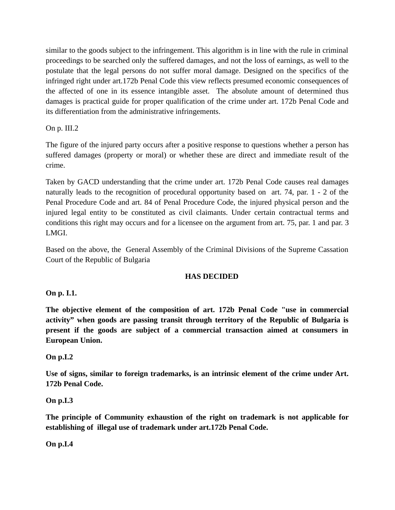similar to the goods subject to the infringement. This algorithm is in line with the rule in criminal proceedings to be searched only the suffered damages, and not the loss of earnings, as well to the postulate that the legal persons do not suffer moral damage. Designed on the specifics of the infringed right under art.172b Penal Code this view reflects presumed economic consequences of the affected of one in its essence intangible asset. The absolute amount of determined thus damages is practical guide for proper qualification of the crime under art. 172b Penal Code and its differentiation from the administrative infringements.

On p. III.2

The figure of the injured party occurs after a positive response to questions whether a person has suffered damages (property or moral) or whether these are direct and immediate result of the crime.

Taken by GACD understanding that the crime under art. 172b Penal Code causes real damages naturally leads to the recognition of procedural opportunity based on art. 74, par. 1 - 2 of the Penal Procedure Code and art. 84 of Penal Procedure Code, the injured physical person and the injured legal entity to be constituted as civil claimants. Under certain contractual terms and conditions this right may occurs and for a licensee on the argument from art. 75, par. 1 and par. 3 LMGI.

Based on the above, the General Assembly of the Criminal Divisions of the Supreme Cassation Court of the Republic of Bulgaria

## **HAS DECIDED**

**On p. I.1.**

**The objective element of the composition of art. 172b Penal Code "use in commercial activity" when goods are passing transit through territory of the Republic of Bulgaria is present if the goods are subject of a commercial transaction aimed at consumers in European Union.**

# **On p.І.2**

**Use of signs, similar to foreign trademarks, is an intrinsic element of the crime under Art. 172b Penal Code.**

## **On p.І.3**

**The principle of Community exhaustion of the right on trademark is not applicable for establishing of illegal use of trademark under art.172b Penal Code.** 

**On p.І.4**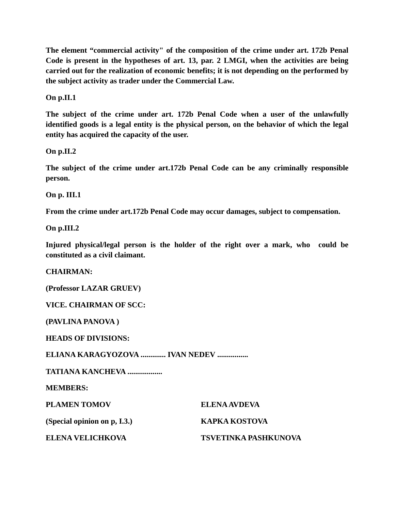**The element "commercial activity" of the composition of the crime under art. 172b Penal Code is present in the hypotheses of art. 13, par. 2 LMGI, when the activities are being carried out for the realization of economic benefits; it is not depending on the performed by the subject activity as trader under the Commercial Law.**

**On p.ІІ.1**

**The subject of the crime under art. 172b Penal Code when a user of the unlawfully identified goods is a legal entity is the physical person, on the behavior of which the legal entity has acquired the capacity of the user.**

**On p.ІІ.2**

**The subject of the crime under art.172b Penal Code can be any criminally responsible person.**

**On p. III.1**

**From the crime under art.172b Penal Code may occur damages, subject to compensation.**

**On p.ІІІ.2**

**Injured physical/legal person is the holder of the right over a mark, who could be constituted as a civil claimant.** 

**CHAIRMAN:**

**(Professor LAZAR GRUEV)**

**VICE. CHAIRMAN OF SCC:**

**(PAVLINA PANOVA )**

**HEADS OF DIVISIONS:** 

**ELIANA KARAGYOZOVA ............. IVAN NEDEV ................**

**TATIANA KANCHEVA ..................**

**MEMBERS:**

**PLAMEN TOMOV**

**(Special opinion on p, I.3.)**

**ELENA VELICHKOVA**

**TSVETINKA PASHKUNOVA**

**ELENA AVDEVA**

**KAPKA KOSTOVA**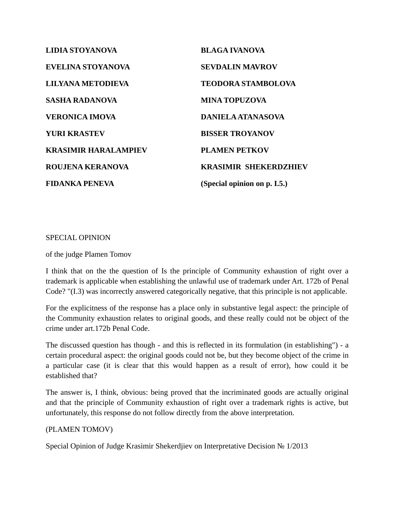| LIDIA STOYANOVA             | <b>BLAGA IVANOVA</b>         |
|-----------------------------|------------------------------|
| EVELINA STOYANOVA           | <b>SEVDALIN MAVROV</b>       |
| <b>LILYANA METODIEVA</b>    | <b>TEODORA STAMBOLOVA</b>    |
| <b>SASHA RADANOVA</b>       | <b>MINA TOPUZOVA</b>         |
| <b>VERONICA IMOVA</b>       | <b>DANIELA ATANASOVA</b>     |
| YURI KRASTEV                | <b>BISSER TROYANOV</b>       |
| <b>KRASIMIR HARALAMPIEV</b> | <b>PLAMEN PETKOV</b>         |
| ROUJENA KERANOVA            | <b>KRASIMIR SHEKERDZHIEV</b> |
| FIDANKA PENEVA              | (Special opinion on p. I.5.) |

### SPECIAL OPINION

of the judge Plamen Tomov

I think that on the the question of Is the principle of Community exhaustion of right over a trademark is applicable when establishing the unlawful use of trademark under Art. 172b of Penal Code? "(I.3) was incorrectly answered categorically negative, that this principle is not applicable.

For the explicitness of the response has a place only in substantive legal aspect: the principle of the Community exhaustion relates to original goods, and these really could not be object of the crime under art.172b Penal Code.

The discussed question has though - and this is reflected in its formulation (in establishing") - a certain procedural aspect: the original goods could not be, but they become object of the crime in a particular case (it is clear that this would happen as a result of error), how could it be established that?

The answer is, I think, obvious: being proved that the incriminated goods are actually original and that the principle of Community exhaustion of right over a trademark rights is active, but unfortunately, this response do not follow directly from the above interpretation.

### (PLAMEN TOMOV)

Special Opinion of Judge Krasimir Shekerdjiev on Interpretative Decision № 1/2013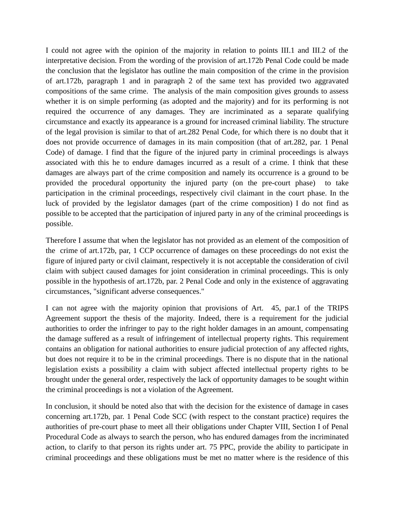I could not agree with the opinion of the majority in relation to points III.1 and III.2 of the interpretative decision. From the wording of the provision of art.172b Penal Code could be made the conclusion that the legislator has outline the main composition of the crime in the provision of art.172b, paragraph 1 and in paragraph 2 of the same text has provided two aggravated compositions of the same crime. The analysis of the main composition gives grounds to assess whether it is on simple performing (as adopted and the majority) and for its performing is not required the occurrence of any damages. They are incriminated as a separate qualifying circumstance and exactly its appearance is a ground for increased criminal liability. The structure of the legal provision is similar to that of art.282 Penal Code, for which there is no doubt that it does not provide occurrence of damages in its main composition (that of art.282, par. 1 Penal Code) of damage. I find that the figure of the injured party in criminal proceedings is always associated with this he to endure damages incurred as a result of a crime. I think that these damages are always part of the crime composition and namely its occurrence is a ground to be provided the procedural opportunity the injured party (on the pre-court phase) to take participation in the criminal proceedings, respectively civil claimant in the court phase. In the luck of provided by the legislator damages (part of the crime composition) I do not find as possible to be accepted that the participation of injured party in any of the criminal proceedings is possible.

Therefore I assume that when the legislator has not provided as an element of the composition of the crime of art.172b, par, 1 CCP occurrence of damages on these proceedings do not exist the figure of injured party or civil claimant, respectively it is not acceptable the consideration of civil claim with subject caused damages for joint consideration in criminal proceedings. This is only possible in the hypothesis of art.172b, par. 2 Penal Code and only in the existence of aggravating circumstances, "significant adverse consequences."

I can not agree with the majority opinion that provisions of Art. 45, par.1 of the TRIPS Agreement support the thesis of the majority. Indeed, there is a requirement for the judicial authorities to order the infringer to pay to the right holder damages in an amount, compensating the damage suffered as a result of infringement of intellectual property rights. This requirement contains an obligation for national authorities to ensure judicial protection of any affected rights, but does not require it to be in the criminal proceedings. There is no dispute that in the national legislation exists a possibility a claim with subject affected intellectual property rights to be brought under the general order, respectively the lack of opportunity damages to be sought within the criminal proceedings is not a violation of the Agreement.

In conclusion, it should be noted also that with the decision for the existence of damage in cases concerning art.172b, par. 1 Penal Code SCC (with respect to the constant practice) requires the authorities of pre-court phase to meet all their obligations under Chapter VIII, Section I of Penal Procedural Code as always to search the person, who has endured damages from the incriminated action, to clarify to that person its rights under art. 75 PPC, provide the ability to participate in criminal proceedings and these obligations must be met no matter where is the residence of this